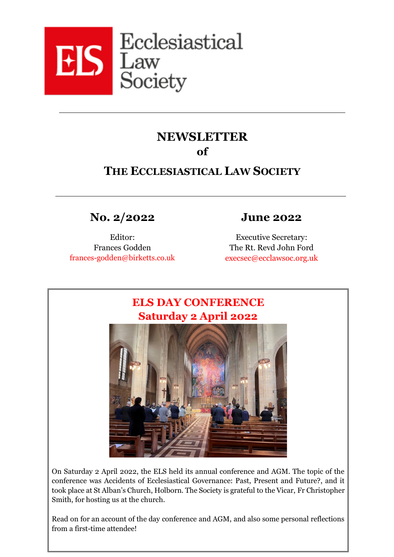

# **NEWSLETTER of**

# **THE ECCLESIASTICAL LAW SOCIETY**

**No. 2/2022 June 2022**

Editor: Frances Godden frances-godden@birketts.co.uk

Executive Secretary: The Rt. Revd John Ford [execsec@ecclawsoc.org.uk](mailto:execsec@ecclawsoc.org.uk)



On Saturday 2 April 2022, the ELS held its annual conference and AGM. The topic of the conference was Accidents of Ecclesiastical Governance: Past, Present and Future?, and it took place at St Alban's Church, Holborn. The Society is grateful to the Vicar, Fr Christopher Smith, for hosting us at the church.

Read on for an account of the day conference and AGM, and also some personal reflections from a first-time attendee!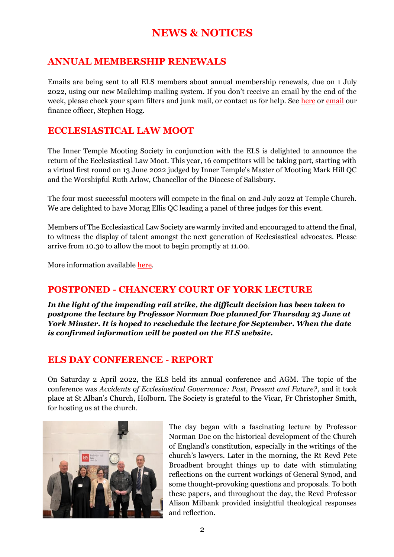# **NEWS & NOTICES**

## **ANNUAL MEMBERSHIP RENEWALS**

Emails are being sent to all ELS members about annual membership renewals, due on 1 July 2022, using our new Mailchimp mailing system. If you don't receive an email by the end of the week, please check your spam filters and junk mail, or contact us for help. See [here](https://ecclawsoc.org.uk/membership/renew/) or [email](mailto:finance@ecclawsoc.org.uk) our finance officer, Stephen Hogg.

## **ECCLESIASTICAL LAW MOOT**

The Inner Temple Mooting Society in conjunction with the ELS is delighted to announce the return of the Ecclesiastical Law Moot. This year, 16 competitors will be taking part, starting with a virtual first round on 13 June 2022 judged by Inner Temple's Master of Mooting Mark Hill QC and the Worshipful Ruth Arlow, Chancellor of the Diocese of Salisbury.

The four most successful mooters will compete in the final on 2nd July 2022 at Temple Church. We are delighted to have Morag Ellis QC leading a panel of three judges for this event.

Members of The Ecclesiastical Law Society are warmly invited and encouraged to attend the final, to witness the display of talent amongst the next generation of Ecclesiastical advocates. Please arrive from 10.30 to allow the moot to begin promptly at 11.00.

More information available [here.](https://ecclawsoc.org.uk/ecclesiastical-law-moot-2022/)

## **POSTPONED - CHANCERY COURT OF YORK LECTURE**

*In the light of the impending rail strike, the difficult decision has been taken to postpone the lecture by Professor Norman Doe planned for Thursday 23 June at York Minster. It is hoped to reschedule the lecture for September. When the date is confirmed information will be posted on the ELS website.*

## **ELS DAY CONFERENCE - REPORT**

On Saturday 2 April 2022, the ELS held its annual conference and AGM. The topic of the conference was *Accidents of Ecclesiastical Governance: Past, Present and Future?*, and it took place at St Alban's Church, Holborn. The Society is grateful to the Vicar, Fr Christopher Smith, for hosting us at the church.



The day began with a fascinating lecture by Professor Norman Doe on the historical development of the Church of England's constitution, especially in the writings of the church's lawyers. Later in the morning, the Rt Revd Pete Broadbent brought things up to date with stimulating reflections on the current workings of General Synod, and some thought-provoking questions and proposals. To both these papers, and throughout the day, the Revd Professor Alison Milbank provided insightful theological responses and reflection.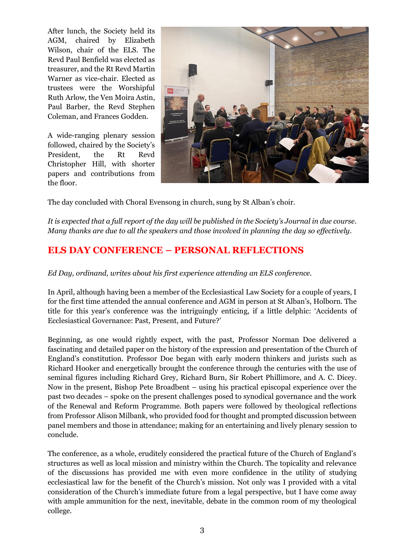After lunch, the Society held its AGM, chaired by Elizabeth Wilson, chair of the ELS. The Revd Paul Benfield was elected as treasurer, and the Rt Revd Martin Warner as vice-chair. Elected as trustees were the Worshipful Ruth Arlow, the Ven Moira Astin, Paul Barber, the Revd Stephen Coleman, and Frances Godden.

A wide-ranging plenary session followed, chaired by the Society's President, the Rt Revd Christopher Hill, with shorter papers and contributions from the floor.



The day concluded with Choral Evensong in church, sung by St Alban's choir.

*It is expected that a full report of the day will be published in the Society's Journal in due course. Many thanks are due to all the speakers and those involved in planning the day so effectively.*

# **ELS DAY CONFERENCE – PERSONAL REFLECTIONS**

*Ed Day, ordinand, writes about his first experience attending an ELS conference.* 

In April, although having been a member of the Ecclesiastical Law Society for a couple of years, I for the first time attended the annual conference and AGM in person at St Alban's, Holborn. The title for this year's conference was the intriguingly enticing, if a little delphic: 'Accidents of Ecclesiastical Governance: Past, Present, and Future?'

Beginning, as one would rightly expect, with the past, Professor Norman Doe delivered a fascinating and detailed paper on the history of the expression and presentation of the Church of England's constitution. Professor Doe began with early modern thinkers and jurists such as Richard Hooker and energetically brought the conference through the centuries with the use of seminal figures including Richard Grey, Richard Burn, Sir Robert Phillimore, and A. C. Dicey. Now in the present, Bishop Pete Broadbent – using his practical episcopal experience over the past two decades – spoke on the present challenges posed to synodical governance and the work of the Renewal and Reform Programme. Both papers were followed by theological reflections from Professor Alison Milbank, who provided food for thought and prompted discussion between panel members and those in attendance; making for an entertaining and lively plenary session to conclude.

The conference, as a whole, eruditely considered the practical future of the Church of England's structures as well as local mission and ministry within the Church. The topicality and relevance of the discussions has provided me with even more confidence in the utility of studying ecclesiastical law for the benefit of the Church's mission. Not only was I provided with a vital consideration of the Church's immediate future from a legal perspective, but I have come away with ample ammunition for the next, inevitable, debate in the common room of my theological college.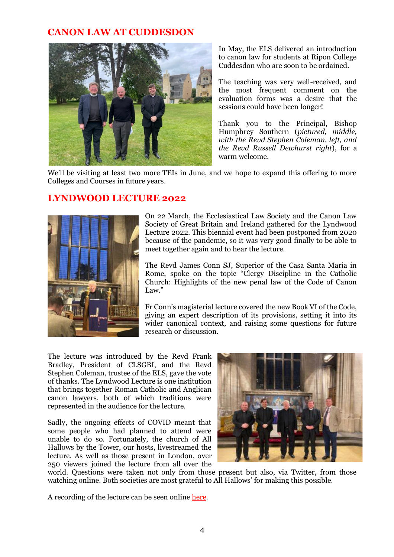## **CANON LAW AT CUDDESDON**



In May, the ELS delivered an introduction to canon law for students at Ripon College Cuddesdon who are soon to be ordained.

The teaching was very well-received, and the most frequent comment on the evaluation forms was a desire that the sessions could have been longer!

Thank you to the Principal, Bishop Humphrey Southern (*pictured, middle, with the Revd Stephen Coleman, left, and the Revd Russell Dewhurst right*), for a warm welcome.

We'll be visiting at least two more TEIs in June, and we hope to expand this offering to more Colleges and Courses in future years.

### **LYNDWOOD LECTURE 2022**



On 22 March, the Ecclesiastical Law Society and the Canon Law Society of Great Britain and Ireland gathered for the Lyndwood Lecture 2022. This biennial event had been postponed from 2020 because of the pandemic, so it was very good finally to be able to meet together again and to hear the lecture.

The Revd James Conn SJ, Superior of the Casa Santa Maria in Rome, spoke on the topic "Clergy Discipline in the Catholic Church: Highlights of the new penal law of the Code of Canon Law"

Fr Conn's magisterial lecture covered the new Book VI of the Code, giving an expert description of its provisions, setting it into its wider canonical context, and raising some questions for future research or discussion.

The lecture was introduced by the Revd Frank Bradley, President of CLSGBI, and the Revd Stephen Coleman, trustee of the ELS, gave the vote of thanks. The Lyndwood Lecture is one institution that brings together Roman Catholic and Anglican canon lawyers, both of which traditions were represented in the audience for the lecture.

Sadly, the ongoing effects of COVID meant that some people who had planned to attend were unable to do so. Fortunately, the church of All Hallows by the Tower, our hosts, livestreamed the lecture. As well as those present in London, over 250 viewers joined the lecture from all over the



world. Questions were taken not only from those present but also, via Twitter, from those watching online. Both societies are most grateful to All Hallows' for making this possible.

A recording of the lecture can be seen onlin[e here.](https://livestream.com/ahbtt/events/10266401)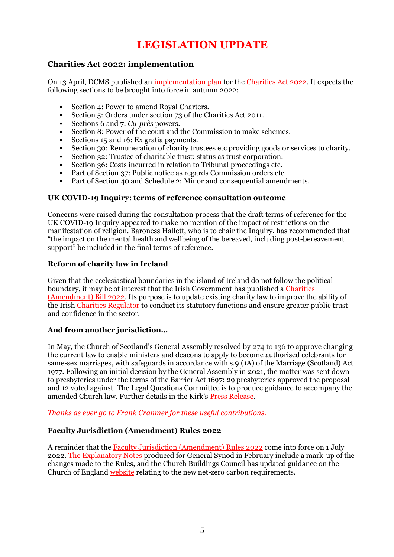# **LEGISLATION UPDATE**

### **Charities Act 2022: implementation**

On 13 April, DCMS published an [implementation plan](https://www.gov.uk/guidance/charities-act-2022-implementation-plan#provisions-of-the-act-expected-to-come-into-force-autumn-2022) for the [Charities Act 2022.](https://protect-eu.mimecast.com/s/KXZGCJ69NcQKjwpcVZhL0?domain=legislation.gov.uk) It expects the following sections to be brought into force in autumn 2022:

- Section 4: Power to amend Royal Charters.
- Section 5: Orders under section 73 of the Charities Act 2011.
- Sections 6 and 7: *Cy-près* powers.
- Section 8: Power of the court and the Commission to make schemes.
- Sections 15 and 16: Ex gratia payments.
- Section 30: Remuneration of charity trustees etc providing goods or services to charity.
- Section 32: Trustee of charitable trust: status as trust corporation.
- Section 36: Costs incurred in relation to Tribunal proceedings etc.
- Part of Section 37: Public notice as regards Commission orders etc.
- Part of Section 40 and Schedule 2: Minor and consequential amendments.

#### **UK COVID-19 Inquiry: terms of reference consultation outcome**

Concerns were raised during the consultation process that the draft terms of reference for the UK COVID-19 Inquiry appeared to make no mention of the impact of restrictions on the manifestation of religion. Baroness Hallett, who is to chair the Inquiry, has recommended that "the impact on the mental health and wellbeing of the bereaved, including post-bereavement support" be included in the final terms of reference.

#### **Reform of charity law in Ireland**

Given that the ecclesiastical boundaries in the island of Ireland do not follow the political boundary, it may be of interest that the Irish Government has published a [Charities](https://protect-eu.mimecast.com/s/aGIHCKrVLur4RW8fv_hsg?domain=gov.ie/)  [\(Amendment\) Bill 2022.](https://protect-eu.mimecast.com/s/aGIHCKrVLur4RW8fv_hsg?domain=gov.ie/) Its purpose is to update existing charity law to improve the ability of the Irish [Charities Regulator](https://protect-eu.mimecast.com/s/tPUrCL9VvuYQz9NcPa6uv?domain=charitiesregulator.ie) to conduct its statutory functions and ensure greater public trust and confidence in the sector.

#### **And from another jurisdiction…**

In May, the Church of Scotland's General Assembly resolved by 274 to 136 to approve changing the current law to enable ministers and deacons to apply to become authorised celebrants for same-sex marriages, with safeguards in accordance with s.9 (1A) of the Marriage (Scotland) Act 1977. Following an initial decision by the General Assembly in 2021, the matter was sent down to presbyteries under the terms of the Barrier Act 1697: 29 presbyteries approved the proposal and 12 voted against. The Legal Questions Committee is to produce guidance to accompany the amended Church law. Further details in the Kirk's [Press Release.](https://protect-eu.mimecast.com/s/UeUnCM8VJh6zn3xsWNjm2?domain=churchofscotland.org.uk)

#### *Thanks as ever go to Frank Cranmer for these useful contributions.*

#### **Faculty Jurisdiction (Amendment) Rules 2022**

A reminder that th[e Faculty Jurisdiction \(Amendment\) Rules 2022](https://www.legislation.gov.uk/uksi/2022/155/made) come into force on 1 July 2022. The [Explanatory Notes](https://www.churchofengland.org/sites/default/files/2022-01/GS%202245X%20FJ%28A%29R%20Exp%20Notes%20-%20final%20for%20Synod%20v2.pdf) produced for General Synod in February include a mark-up of the changes made to the Rules, and the Church Buildings Council has updated guidance on the Church of England [website](https://www.churchofengland.org/resources/churchcare/church-buildings-council/how-we-manage-our-buildings) relating to the new net-zero carbon requirements.